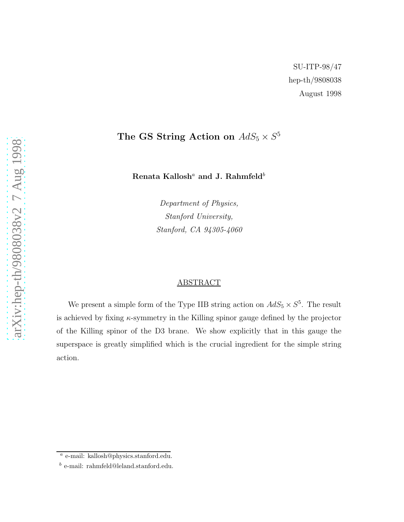## The GS String Action on  $AdS_5 \times S^5$

Renata Kallosh $\rm^a$  and J. Rahmfeld $\rm^b$ 

Department of Physics, Stanford University, Stanford, CA 94305-4060

## ABSTRACT

We present a simple form of the Type IIB string action on  $AdS_5 \times S^5$ . The result is achieved by fixing  $\kappa$ -symmetry in the Killing spinor gauge defined by the projector of the Killing spinor of the D3 brane. We show explicitly that in this gauge the superspace is greatly simplified which is the crucial ingredient for the simple string action.

a e-mail: kallosh@physics.stanford.edu.

 $\real^b$ e-mail: rahmfeld@leland.stanford.edu.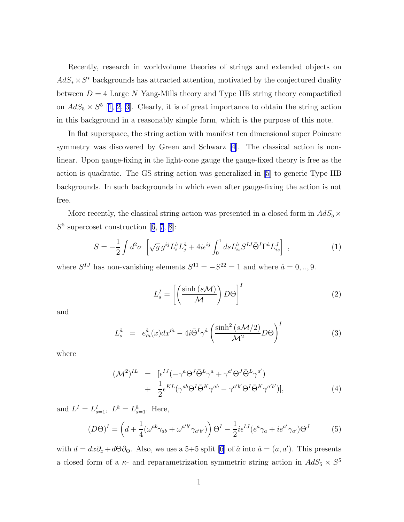<span id="page-1-0"></span>Recently, research in worldvolume theories of strings and extended objects on  $AdS_*\times S^*$  backgrounds has attracted attention, motivated by the conjectured duality between  $D = 4$  Large N Yang-Mills theory and Type IIB string theory compactified on  $AdS_5 \times S^5$  [[1, 2, 3](#page-6-0)]. Clearly, it is of great importance to obtain the string action in this background in a reasonably simple form, which is the purpose of this note.

In flat superspace, the string action with manifest ten dimensional super Poincare symmetry was discovered by Green and Schwarz [\[4](#page-7-0)]. The classical action is nonlinear. Upon gauge-fixing in the light-cone gauge the gauge-fixed theory is free as the action is quadratic. The GS string action was generalized in[[5\]](#page-7-0) to generic Type IIB backgrounds. In such backgrounds in which even after gauge-fixing the action is not free.

More recently, the classical string action was presented in a closed form in  $AdS_5 \times$  $S<sup>5</sup>$ supercoset construction [[6](#page-7-0), [7](#page-7-0), [8](#page-7-0)]:

$$
S = -\frac{1}{2} \int d^2 \sigma \left[ \sqrt{g} g^{ij} L_i^{\hat{a}} L_j^{\hat{a}} + 4i \epsilon^{ij} \int_0^1 ds L_{is}^{\hat{a}} S^{IJ} \bar{\Theta}^I \Gamma^{\hat{a}} L_{is}^J \right] , \qquad (1)
$$

where  $S^{IJ}$  has non-vanishing elements  $S^{11} = -S^{22} = 1$  and where  $\hat{a} = 0, ..., 9$ .

$$
L_s^I = \left[ \left( \frac{\sinh\left(s \mathcal{M}\right)}{\mathcal{M}} \right) D\Theta \right]^I \tag{2}
$$

and

$$
L_s^{\hat{a}} = e_{\hat{m}}^{\hat{a}}(x)dx^{\hat{m}} - 4i\bar{\Theta}^I\gamma^{\hat{a}}\left(\frac{\sinh^2\left(s\mathcal{M}/2\right)}{\mathcal{M}^2}D\Theta\right)^I\tag{3}
$$

where

$$
(\mathcal{M}^2)^{IL} = \left[ \epsilon^{IJ} (-\gamma^a \Theta^J \bar{\Theta}^L \gamma^a + \gamma^{a'} \Theta^J \bar{\Theta}^L \gamma^{a'} ) \right. + \frac{1}{2} \epsilon^{KL} (\gamma^{ab} \Theta^I \bar{\Theta}^K \gamma^{ab} - \gamma^{a'b'} \Theta^I \bar{\Theta}^K \gamma^{a'b'} )], \tag{4}
$$

and  $L^I = L_{s=1}^I$ ,  $L^{\hat{a}} = L_{s=1}^{\hat{a}}$ . Here,

$$
(D\Theta)^{I} = \left(d + \frac{1}{4}(\omega^{ab}\gamma_{ab} + \omega^{a'b'}\gamma_{a'b'})\right)\Theta^{I} - \frac{1}{2}i\epsilon^{IJ}(e^{a}\gamma_{a} + ie^{a'}\gamma_{a'})\Theta^{J}
$$
(5)

with  $d = dx\partial_x + d\Theta\partial_{\Theta}$ . Also, we use a 5+5 split [\[6\]](#page-7-0) of  $\hat{a}$  into  $\hat{a} = (a, a')$ . This presents a closed form of a  $\kappa$ - and reparametrization symmetric string action in  $AdS_5 \times S^5$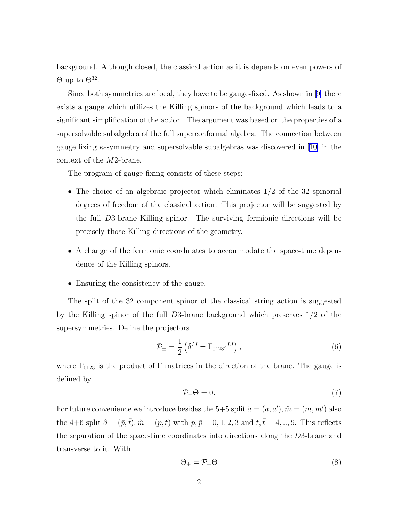<span id="page-2-0"></span>background. Although closed, the classical action as it is depends on even powers of  $\Theta$  up to  $\Theta^{32}$ .

Since both symmetries are local, they have to be gauge-fixed. As shown in[[9\]](#page-7-0) there exists a gauge which utilizes the Killing spinors of the background which leads to a significant simplification of the action. The argument was based on the properties of a supersolvable subalgebra of the full superconformal algebra. The connection between gaugefixing  $\kappa$ -symmetry and supersolvable subalgebras was discovered in [[10\]](#page-7-0) in the context of the M2-brane.

The program of gauge-fixing consists of these steps:

- The choice of an algebraic projector which eliminates  $1/2$  of the 32 spinorial degrees of freedom of the classical action. This projector will be suggested by the full D3-brane Killing spinor. The surviving fermionic directions will be precisely those Killing directions of the geometry.
- A change of the fermionic coordinates to accommodate the space-time dependence of the Killing spinors.
- Ensuring the consistency of the gauge.

The split of the 32 component spinor of the classical string action is suggested by the Killing spinor of the full D3-brane background which preserves 1/2 of the supersymmetries. Define the projectors

$$
\mathcal{P}_{\pm} = \frac{1}{2} \left( \delta^{IJ} \pm \Gamma_{0123} \epsilon^{IJ} \right), \tag{6}
$$

where  $\Gamma_{0123}$  is the product of  $\Gamma$  matrices in the direction of the brane. The gauge is defined by

$$
\mathcal{P}_-\Theta = 0.\tag{7}
$$

For future convenience we introduce besides the 5+5 split  $\hat{a} = (a, a'), \hat{m} = (m, m')$  also the 4+6 split  $\hat{a} = (\bar{p}, \bar{t}), \hat{m} = (p, t)$  with  $p, \bar{p} = 0, 1, 2, 3$  and  $t, \bar{t} = 4, ..., 9$ . This reflects the separation of the space-time coordinates into directions along the D3-brane and transverse to it. With

$$
\Theta_{\pm} = \mathcal{P}_{\pm} \Theta \tag{8}
$$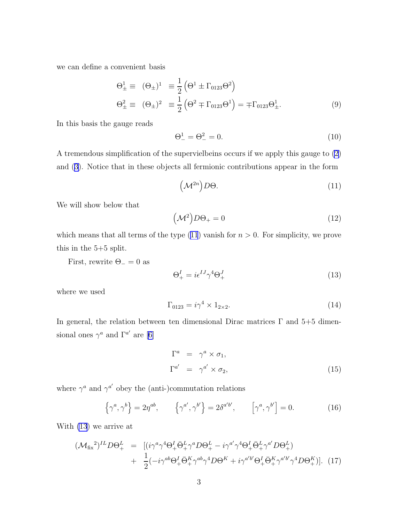we can define a convenient basis

$$
\Theta_{\pm}^{1} \equiv (\Theta_{\pm})^{1} \equiv \frac{1}{2} (\Theta^{1} \pm \Gamma_{0123} \Theta^{2})
$$
  
\n
$$
\Theta_{\pm}^{2} \equiv (\Theta_{\pm})^{2} \equiv \frac{1}{2} (\Theta^{2} \mp \Gamma_{0123} \Theta^{1}) = \mp \Gamma_{0123} \Theta_{\pm}^{1}.
$$
\n(9)

In this basis the gauge reads

$$
\Theta_-^1 = \Theta_-^2 = 0. \tag{10}
$$

A tremendous simplification of the supervielbeins occurs if we apply this gauge to [\(2](#page-1-0)) and([3\)](#page-1-0). Notice that in these objects all fermionic contributions appear in the form

$$
\left(\mathcal{M}^{2n}\right)D\Theta.\tag{11}
$$

We will show below that

$$
\left(\mathcal{M}^2\right)D\Theta_+ = 0\tag{12}
$$

which means that all terms of the type  $(11)$  vanish for  $n > 0$ . For simplicity, we prove this in the 5+5 split.

First, rewrite  $\Theta_-=0$  as

$$
\Theta_+^I = i\epsilon^{IJ}\gamma^4\Theta_+^J\tag{13}
$$

where we used

$$
\Gamma_{0123} = i\gamma^4 \times 1_{2 \times 2}.\tag{14}
$$

In general, the relation between ten dimensional Dirac matrices  $\Gamma$  and  $5+5$  dimensional ones  $\gamma^a$  and  $\Gamma^{a'}$  are [\[6\]](#page-7-0)

$$
\Gamma^a = \gamma^a \times \sigma_1,
$$
  
\n
$$
\Gamma^{a'} = \gamma^{a'} \times \sigma_2,
$$
\n(15)

where  $\gamma^a$  and  $\gamma^{a'}$  obey the (anti-)commutation relations

$$
\left\{\gamma^a,\gamma^b\right\} = 2\eta^{ab}, \qquad \left\{\gamma^{a'},\gamma^{b'}\right\} = 2\delta^{a'b'}, \qquad \left[\gamma^a,\gamma^{b'}\right] = 0. \tag{16}
$$

With (13) we arrive at

$$
\begin{split} (\mathcal{M}_{\text{fix}}^2)^{IL} D\Theta^L_+ &= \left[ (i\gamma^a \gamma^4 \Theta^I_+ \bar{\Theta}^L_+ \gamma^a D\Theta^L_+ - i\gamma^{a'} \gamma^4 \Theta^I_+ \bar{\Theta}^L_+ \gamma^{a'} D\Theta^L_+ \right) \\ &+ \frac{1}{2} (-i\gamma^{ab} \Theta^I_+ \bar{\Theta}^K_+ \gamma^{ab} \gamma^4 D\Theta^K + i\gamma^{a'b'} \Theta^I_+ \bar{\Theta}^K_+ \gamma^{a'b'} \gamma^4 D\Theta^K_+ ) \right]. \end{split} \tag{17}
$$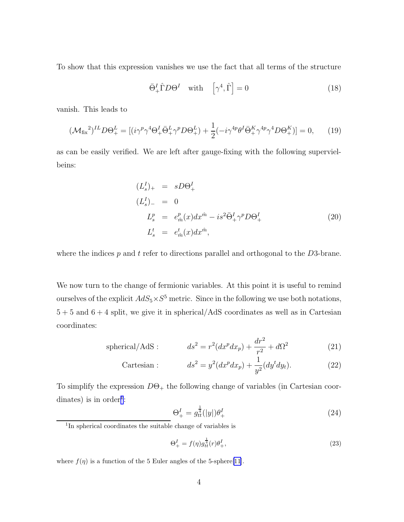<span id="page-4-0"></span>To show that this expression vanishes we use the fact that all terms of the structure

$$
\bar{\Theta}^I_+ \hat{\Gamma} D \Theta^I \quad \text{with} \quad \left[\gamma^4, \hat{\Gamma}\right] = 0 \tag{18}
$$

vanish. This leads to

$$
(\mathcal{M}_{\text{fix}}^2)^{IL} D \Theta_+^L = [(i\gamma^p \gamma^4 \Theta_+^I \bar{\Theta}_+^L \gamma^p D \Theta_+^L) + \frac{1}{2} (-i\gamma^{4p} \theta^I \bar{\Theta}_+^K \gamma^{4p} \gamma^4 D \Theta_+^K)] = 0, \qquad (19)
$$

as can be easily verified. We are left after gauge-fixing with the following supervielbeins:

$$
(L_s^I)_+ = sD\Theta_+^I
$$
  
\n
$$
(L_s^I)_- = 0
$$
  
\n
$$
L_s^p = e_{\hat{m}}^p(x)dx^{\hat{m}} - is^2\bar{\Theta}_+^I\gamma^p D\Theta_+^I
$$
  
\n
$$
L_s^t = e_{\hat{m}}^t(x)dx^{\hat{m}},
$$
\n(20)

where the indices  $p$  and  $t$  refer to directions parallel and orthogonal to the  $D3$ -brane.

We now turn to the change of fermionic variables. At this point it is useful to remind ourselves of the explicit  $AdS_5 \times S^5$  metric. Since in the following we use both notations,  $5 + 5$  and  $6 + 4$  split, we give it in spherical/AdS coordinates as well as in Cartesian coordinates:

spherical/AdS : 
$$
ds^2 = r^2(dx^p dx_p) + \frac{dr^2}{r^2} + d\Omega^2
$$
 (21)

Cartesian : 
$$
ds^2 = y^2(dx^p dx_p) + \frac{1}{y^2}(dy^t dy_t).
$$
 (22)

To simplify the expression  $D\Theta_+$  the following change of variables (in Cartesian coordinates) is in order<sup>1</sup>:

$$
\Theta_{+}^{I} = g_{tt}^{\frac{1}{4}}(|y|)\theta_{+}^{I} \tag{24}
$$

$$
\Theta_{+}^{I} = f(\eta)g_{tt}^{\frac{1}{4}}(r)\theta_{+}^{I},\tag{23}
$$

where  $f(\eta)$  is a function of the 5 Euler angles of the 5-sphere[\[11\]](#page-7-0).

<sup>&</sup>lt;sup>1</sup>In spherical coordinates the suitable change of variables is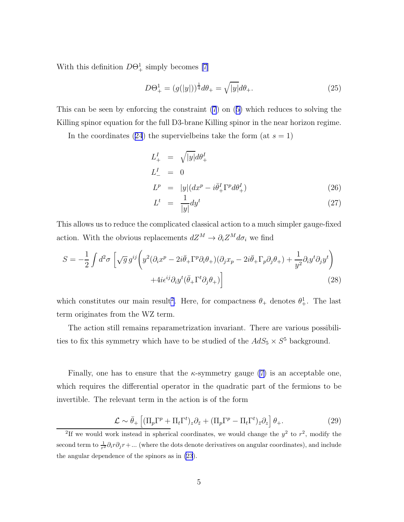With this definition  $D\Theta_{+}^{1}$  simply becomes [\[7](#page-7-0)]

$$
D\Theta_{+}^{1} = (g(|y|))^{\frac{1}{4}}d\theta_{+} = \sqrt{|y|}d\theta_{+}.
$$
\n(25)

This can be seen by enforcing the constraint [\(7](#page-2-0)) on([5\)](#page-1-0) which reduces to solving the Killing spinor equation for the full D3-brane Killing spinor in the near horizon regime.

Inthe coordinates ([24](#page-4-0)) the supervielbeins take the form (at  $s = 1$ )

$$
L_{+}^{I} = \sqrt{|y|} d\theta_{+}^{I}
$$
  
\n
$$
L_{-}^{I} = 0
$$
  
\n
$$
L^{p} = |y| (dx^{p} - i\bar{\theta}_{+}^{I} \Gamma^{p} d\theta_{+}^{I})
$$
\n(26)

$$
L^t = \frac{1}{|y|} dy^t \tag{27}
$$

This allows us to reduce the complicated classical action to a much simpler gauge-fixed action. With the obvious replacements  $dZ^M \to \partial_i Z^M d\sigma_i$  we find

$$
S = -\frac{1}{2} \int d^2 \sigma \left[ \sqrt{g} g^{ij} \left( y^2 (\partial_i x^p - 2i \bar{\theta}_+ \Gamma^p \partial_i \theta_+) (\partial_j x_p - 2i \bar{\theta}_+ \Gamma_p \partial_j \theta_+) + \frac{1}{y^2} \partial_i y^t \partial_j y^t \right) + 4i \epsilon^{ij} \partial_i y^t (\bar{\theta}_+ \Gamma^t \partial_j \theta_+) \right]
$$
(28)

which constitutes our main result<sup>2</sup>. Here, for compactness  $\theta_+$  denotes  $\theta_+^1$ . The last term originates from the WZ term.

The action still remains reparametrization invariant. There are various possibilities to fix this symmetry which have to be studied of the  $AdS_5 \times S^5$  background.

Finally, one has to ensure that the  $\kappa$ -symmetry gauge [\(7](#page-2-0)) is an acceptable one, which requires the differential operator in the quadratic part of the fermions to be invertible. The relevant term in the action is of the form

$$
\mathcal{L} \sim \bar{\theta}_{+} \left[ (\Pi_{p} \Gamma^{p} + \Pi_{t} \Gamma^{t})_{z} \partial_{\bar{z}} + (\Pi_{p} \Gamma^{p} - \Pi_{t} \Gamma^{t})_{\bar{z}} \partial_{z} \right] \theta_{+}.
$$
 (29)

<sup>&</sup>lt;sup>2</sup>If we would work instead in spherical coordinates, we would change the  $y^2$  to  $r^2$ , modify the second term to  $\frac{1}{r^2}\partial_i r \partial_j r + ...$  (where the dots denote derivatives on angular coordinates), and include the angular dependence of the spinors as in [\(23](#page-4-0)).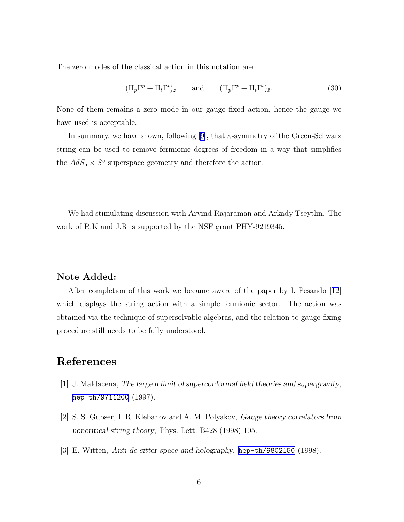<span id="page-6-0"></span>The zero modes of the classical action in this notation are

$$
(\Pi_p \Gamma^p + \Pi_t \Gamma^t)_z \qquad \text{and} \qquad (\Pi_p \Gamma^p + \Pi_t \Gamma^t)_{\bar{z}}.
$$
 (30)

None of them remains a zero mode in our gauge fixed action, hence the gauge we have used is acceptable.

Insummary, we have shown, following [[9\]](#page-7-0), that  $\kappa$ -symmetry of the Green-Schwarz string can be used to remove fermionic degrees of freedom in a way that simplifies the  $AdS_5 \times S^5$  superspace geometry and therefore the action.

We had stimulating discussion with Arvind Rajaraman and Arkady Tseytlin. The work of R.K and J.R is supported by the NSF grant PHY-9219345.

## Note Added:

After completion of this work we became aware of the paper by I. Pesando[[12](#page-7-0)] which displays the string action with a simple fermionic sector. The action was obtained via the technique of supersolvable algebras, and the relation to gauge fixing procedure still needs to be fully understood.

## References

- [1] J. Maldacena, The large n limit of superconformal field theories and supergravity, [hep-th/9711200](http://arxiv.org/abs/hep-th/9711200) (1997).
- [2] S. S. Gubser, I. R. Klebanov and A. M. Polyakov, Gauge theory correlators from noncritical string theory, Phys. Lett. B428 (1998) 105.
- [3] E. Witten, Anti-de sitter space and holography, [hep-th/9802150](http://arxiv.org/abs/hep-th/9802150) (1998).